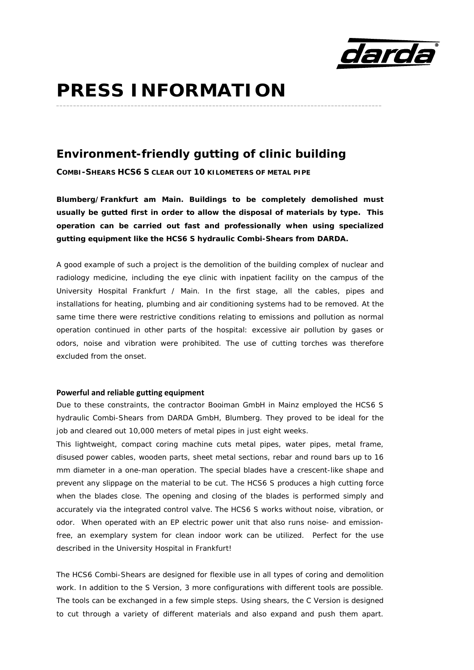

# **PRESS INFORMATION**

### **Environment-friendly gutting of clinic building**

**COMBI-SHEARS HCS6 S CLEAR OUT 10 KILOMETERS OF METAL PIPE**

*Blumberg/Frankfurt am Main.* **Buildings to be completely demolished must usually be gutted first in order to allow the disposal of materials by type. This operation can be carried out fast and professionally when using specialized gutting equipment like the HCS6 S hydraulic Combi-Shears from DARDA.**

**\_\_\_\_\_\_\_\_\_\_\_\_\_\_\_\_\_\_\_\_\_\_\_\_\_\_\_\_\_\_\_\_\_\_\_\_\_\_\_\_\_\_\_\_\_\_\_\_\_\_\_\_\_\_\_\_\_\_\_\_\_\_\_\_\_\_\_\_\_\_\_\_\_\_\_\_\_\_\_\_\_\_\_\_\_\_\_\_\_\_\_\_\_\_\_\_** 

A good example of such a project is the demolition of the building complex of nuclear and radiology medicine, including the eye clinic with inpatient facility on the campus of the University Hospital Frankfurt / Main. In the first stage, all the cables, pipes and installations for heating, plumbing and air conditioning systems had to be removed. At the same time there were restrictive conditions relating to emissions and pollution as normal operation continued in other parts of the hospital: excessive air pollution by gases or odors, noise and vibration were prohibited. The use of cutting torches was therefore excluded from the onset.

#### **Powerful and reliable gutting equipment**

Due to these constraints, the contractor Booiman GmbH in Mainz employed the HCS6 S hydraulic Combi-Shears from DARDA GmbH, Blumberg. They proved to be ideal for the job and cleared out 10,000 meters of metal pipes in just eight weeks.

This lightweight, compact coring machine cuts metal pipes, water pipes, metal frame, disused power cables, wooden parts, sheet metal sections, rebar and round bars up to 16 mm diameter in a one-man operation. The special blades have a crescent-like shape and prevent any slippage on the material to be cut. The HCS6 S produces a high cutting force when the blades close. The opening and closing of the blades is performed simply and accurately via the integrated control valve. The HCS6 S works without noise, vibration, or odor. When operated with an EP electric power unit that also runs noise- and emissionfree, an exemplary system for clean indoor work can be utilized. Perfect for the use described in the University Hospital in Frankfurt!

The HCS6 Combi-Shears are designed for flexible use in all types of coring and demolition work. In addition to the S Version, 3 more configurations with different tools are possible. The tools can be exchanged in a few simple steps. Using shears, the C Version is designed to cut through a variety of different materials and also expand and push them apart.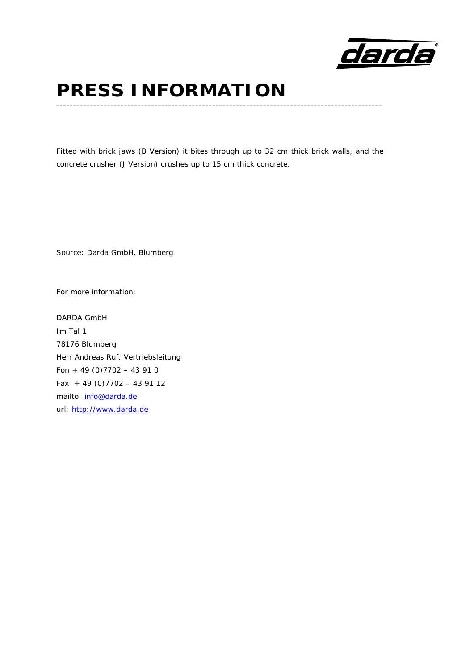

### **PRESS INFORMATION \_\_\_\_\_\_\_\_\_\_\_\_\_\_\_\_\_\_\_\_\_\_\_\_\_\_\_\_\_\_\_\_\_\_\_\_\_\_\_\_\_\_\_\_\_\_\_\_\_\_\_\_\_\_\_\_\_\_\_\_\_\_\_\_\_\_\_\_\_\_\_\_\_\_\_\_\_\_\_\_\_\_\_\_\_\_\_\_\_\_\_\_\_\_\_\_**

Fitted with brick jaws (B Version) it bites through up to 32 cm thick brick walls, and the concrete crusher (J Version) crushes up to 15 cm thick concrete.

Source: Darda GmbH, Blumberg

For more information:

DARDA GmbH Im Tal 1 78176 Blumberg Herr Andreas Ruf, Vertriebsleitung Fon + 49 (0) 7702 - 43 91 0 Fax  $+49(0)7702 - 439112$ mailto: info@darda.de url: http://www.darda.de